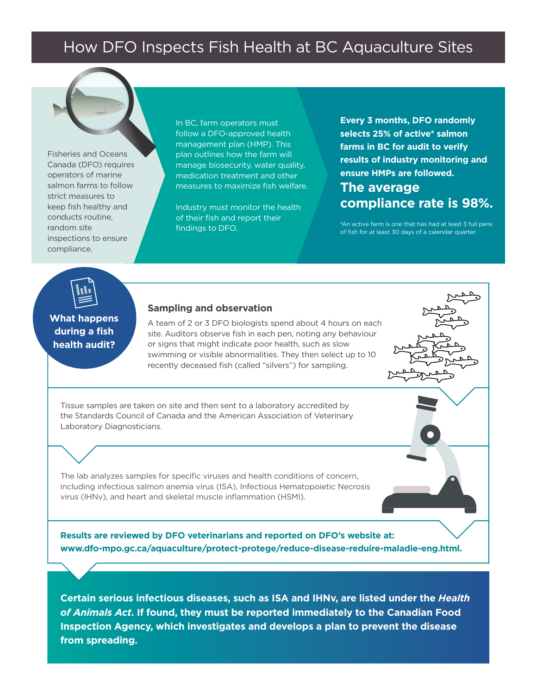## How DFO Inspects Fish Health at BC Aquaculture Sites

Fisheries and Oceans Canada (DFO) requires operators of marine salmon farms to follow strict measures to keep fish healthy and conducts routine, random site inspections to ensure compliance.

In BC, farm operators must follow a DFO-approved health management plan (HMP). This plan outlines how the farm will manage biosecurity, water quality, medication treatment and other measures to maximize fish welfare.

Industry must monitor the health of their fish and report their findings to DFO.

**Every 3 months, DFO randomly selects 25% of active\* salmon farms in BC for audit to verify results of industry monitoring and ensure HMPs are followed.** 

## **The average compliance rate is 98%.**

\*An active farm is one that has had at least 3 full pens of fish for at least 30 days of a calendar quarter.



## **What happens during a fish health audit?**

## **Sampling and observation**

A team of 2 or 3 DFO biologists spend about 4 hours on each site. Auditors observe fish in each pen, noting any behaviour or signs that might indicate poor health, such as slow swimming or visible abnormalities. They then select up to 10 recently deceased fish (called "silvers") for sampling.

Tissue samples are taken on site and then sent to a laboratory accredited by the Standards Council of Canada and the American Association of Veterinary Laboratory Diagnosticians.

The lab analyzes samples for specific viruses and health conditions of concern, including infectious salmon anemia virus (ISA), Infectious Hematopoietic Necrosis virus (IHNv), and heart and skeletal muscle inflammation (HSMI).

**Results are reviewed by DFO veterinarians and reported on DFO's website at: www.dfo-mpo.gc.ca/aquaculture/protect-protege/reduce-disease-reduire-maladie-eng.html.**

**Certain serious infectious diseases, such as ISA and IHNv, are listed under the** *Health of Animals Act***. If found, they must be reported immediately to the Canadian Food Inspection Agency, which investigates and develops a plan to prevent the disease from spreading.**